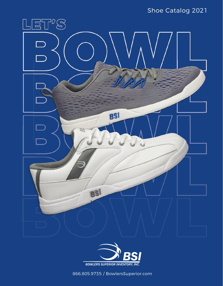# Shoe Catalog 2021





866.805.9735 / BowlersSuperior.com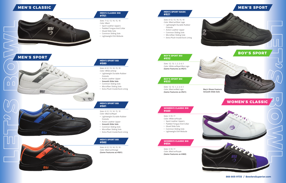*Sizes: 6-12, 13, 14, 15, 16 Color: Black w/Royal*

- Lightweight Durable Rubber Outsole
- Action Leather Upper
- **Smooth Slide Sole**
- Common Sliding Sole
- • Microfiber Sliding Sole
- Extra Plush Insole/Sock Lining

#### *Sizes: 7-12, 13, 14, 15, 16 Color: Black*

- Sport Leather Uppers
- Padded Tongue And Collar
- Glued Slide Sole
- Common Sliding Sole
- Lightweight EVA Midsole

#### **MEN'S CLASSIC BSI #751**

*Sizes: 6-12, 13, 14, 15, 16 Color: Black w/Orange* **(Same Features as #581)**

*Sizes: 6-12, 13, 14, 15, 16 Color: White w/Gray*

- Lightweight Durable Rubber Outsole
- Action Leather Upper
- **Smooth Slide Sole**
- Common Sliding Sole
- • Microfiber Sliding Sole
- Extra Plush Insole/Sock Lining

# **BSI**



# **MEN'S CLASSIC**







### **MEN'S SPORT BSI #580**

#### **MEN'S SPORT BSI #581**

 $\mathcal{D}$   $\mathcal{B}$ 

**MEN'S SPORT BSI #582**



## *Sizes: 6-12, 13, 14, 15, 16*

- *Color: Black w/Silver Logo* • Lightweight Durable Rubber
- **Outsole**
- Action Leather Upper
- Common Sliding Sole
- Microfiber Sliding Sole
- Extra Plush Insole/Sock Lining

#### **MEN'S SPORT BASIC #521**

## *Sizes: 12, 13, 1, 2, 3, 4, 5 Color: White w/Royal Blue Logo* **(Same Features as #521)**

**BOY'S SPORT BSI**



**#532**

*Sizes: 12, 13, 1, 2, 3, 4, 5 Color: Black w/Red Logo* **(Same Features as #521)**

ନ୍ତ<br>ଜ୍ୟ

#### **BOY'S SPORT BSI #533**

#### *Sizes: 5-10, 11*

- *Color: White w/Purple*
- Sport Leather Uppers
- Padded Tongue And Collar
- Glued Slide Sole
- Common Sliding Sole
- Lightweight EVA Midsole

#### **WOMEN'S CLASSIC BSI #460**

*Sizes: 5-10, 11* 

*Color: Black w/Purple* **(Same Features as #460)**



#### **WOMEN'S CLASSIC BSI #654**